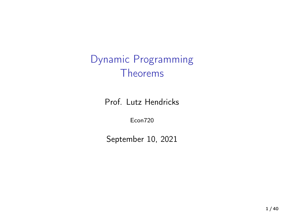# Dynamic Programming Theorems

Prof. Lutz Hendricks

Econ720

September 10, 2021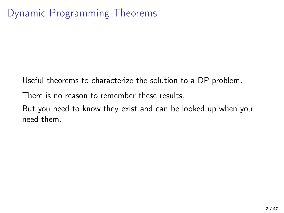Useful theorems to characterize the solution to a DP problem.

There is no reason to remember these results.

But you need to know they exist and can be looked up when you need them.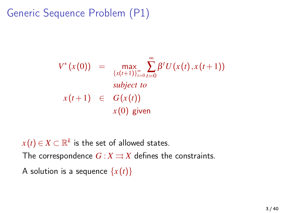Generic Sequence Problem (P1)

$$
V^*(x(0)) = \max_{\{x(t+1)\}_{t=0}^{\infty}} \sum_{t=0}^{\infty} \beta^t U(x(t), x(t+1))
$$
  
subject to  

$$
x(t+1) \in G(x(t))
$$

$$
x(0) \text{ given}
$$

 $x(t) \in X \subset \mathbb{R}^k$  is the set of allowed states. The correspondence  $G: X \rightrightarrows X$  defines the constraints. A solution is a sequence  $\{x(t)\}\$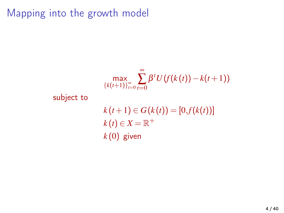Mapping into the growth model

$$
\max_{\{k(t+1)\}_{t=0}^{\infty}} \sum_{t=0}^{\infty} \beta^t U\left(f(k(t)) - k(t+1)\right)
$$
\nsubject to\n
$$
k(t+1) \in G(k(t)) = [0, f(k(t))]
$$
\n
$$
k(t) \in X = \mathbb{R}^+
$$
\n
$$
k(0) \text{ given}
$$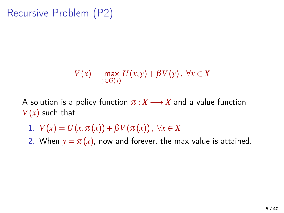Recursive Problem (P2)

$$
V(x) = \max_{y \in G(x)} U(x, y) + \beta V(y), \ \forall x \in X
$$

A solution is a policy function  $\pi : X \longrightarrow X$  and a value function  $V(x)$  such that

- 1.  $V(x) = U(x, \pi(x)) + \beta V(\pi(x)), \forall x \in X$
- 2. When  $y = \pi(x)$ , now and forever, the max value is attained.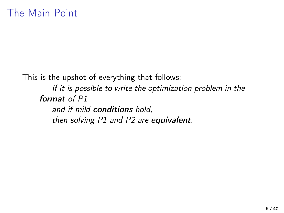This is the upshot of everything that follows:

If it is possible to write the optimization problem in the format of P1

and if mild conditions hold,

then solving P1 and P2 are equivalent.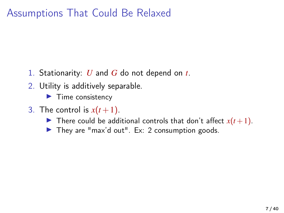## Assumptions That Could Be Relaxed

- 1. Stationarity: *U* and *G* do not depend on *t*.
- 2. Utility is additively separable.

 $\blacktriangleright$  Time consistency

- 3. The control is  $x(t+1)$ .
	- $\blacktriangleright$  There could be additional controls that don't affect  $x(t+1)$ .
	- $\blacktriangleright$  They are "max'd out". Ex: 2 consumption goods.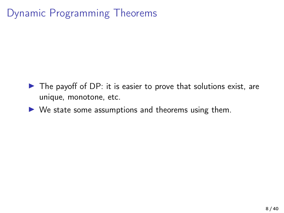# Dynamic Programming Theorems

- $\triangleright$  The payoff of DP: it is easier to prove that solutions exist, are unique, monotone, etc.
- $\triangleright$  We state some assumptions and theorems using them.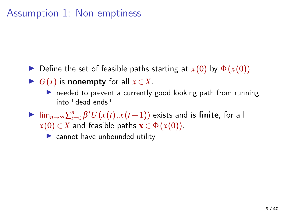#### Assumption 1: Non-emptiness

- $\blacktriangleright$  Define the set of feasible paths starting at  $x(0)$  by  $\Phi(x(0))$ .
- $\triangleright$  *G*(*x*) is nonempty for all *x* ∈ *X*.
	- $\triangleright$  needed to prevent a currently good looking path from running into "dead ends"
- $\triangleright$  lim<sub>*n→∞*</sub>  $\sum_{t=0}^{n} \beta^t U(x(t), x(t+1))$  exists and is finite, for all  $x(0) \in X$  and feasible paths  $\mathbf{x} \in \Phi(x(0))$ .

 $\blacktriangleright$  cannot have unbounded utility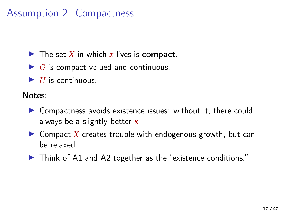## Assumption 2: Compactness

- $\blacktriangleright$  The set *X* in which *x* lives is compact.
- $\blacktriangleright$  *G* is compact valued and continuous.
- $\blacktriangleright$  *II* is continuous.

Notes:

- $\triangleright$  Compactness avoids existence issues: without it, there could always be a slightly better  $\bf{x}$
- $\triangleright$  Compact X creates trouble with endogenous growth, but can be relaxed.
- $\blacktriangleright$  Think of A1 and A2 together as the "existence conditions."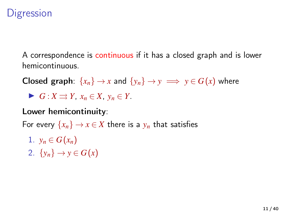## **Digression**

A correspondence is continuous if it has a closed graph and is lower hemicontinuous.

**Closed graph:**  $\{x_n\} \to x$  and  $\{y_n\} \to y \implies y \in G(x)$  where

 $\blacktriangleright$  *G* : *X*  $\Rightarrow$  *Y*, *x<sub>n</sub>* ∈ *X*, *y<sub>n</sub>* ∈ *Y*.

Lower hemicontinuity:

For every  $\{x_n\} \to x \in X$  there is a  $y_n$  that satisfies

- 1.  $y_n \in G(x_n)$
- 2.  $\{y_n\} \rightarrow y \in G(x)$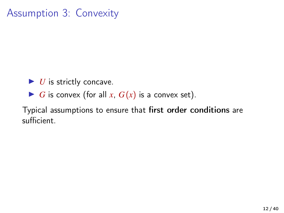Assumption 3: Convexity

- $\blacktriangleright$  *U* is strictly concave.
- $\blacktriangleright$  *G* is convex (for all *x*,  $G(x)$  is a convex set).

Typical assumptions to ensure that first order conditions are sufficient.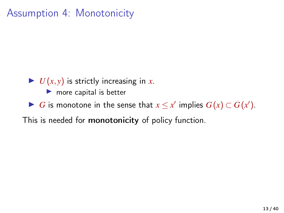#### Assumption 4: Monotonicity

- $\blacktriangleright$  *U*(*x*, *y*) is strictly increasing in *x*.
	- $\blacktriangleright$  more capital is better
- ▶ *G* is monotone in the sense that  $x \leq x'$  implies  $G(x) \subset G(x')$ .

This is needed for monotonicity of policy function.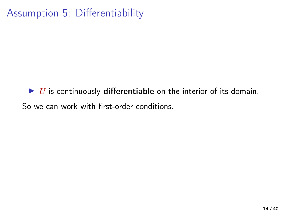# Assumption 5: Differentiability

 $\triangleright$  *U* is continuously differentiable on the interior of its domain. So we can work with first-order conditions.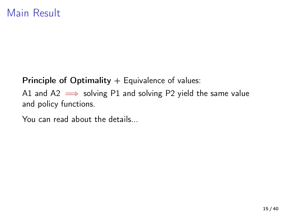Principle of Optimality  $+$  Equivalence of values:

A1 and A2  $\implies$  solving P1 and solving P2 yield the same value and policy functions.

You can read about the details...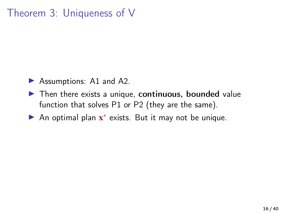#### Theorem 3: Uniqueness of V

- $\blacktriangleright$  Assumptions: A1 and A2.
- $\blacktriangleright$  Then there exists a unique, continuous, bounded value function that solves P1 or P2 (they are the same).
- ► An optimal plan x<sup>\*</sup> exists. But it may not be unique.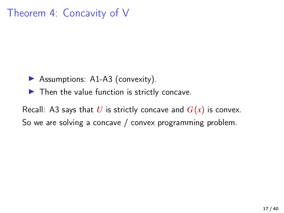#### Theorem 4: Concavity of V

- $\triangleright$  Assumptions: A1-A3 (convexity).
- $\blacktriangleright$  Then the value function is strictly concave.

Recall: A3 says that U is strictly concave and  $G(x)$  is convex. So we are solving a concave / convex programming problem.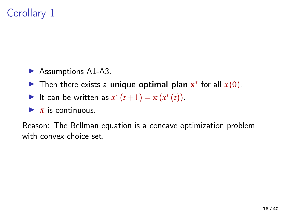# Corollary 1

- $\blacktriangleright$  Assumptions A1-A3.
- ► Then there exists a unique optimal plan  $\mathbf{x}^*$  for all  $x(0)$ .
- It can be written as  $x^*(t+1) = \pi(x^*(t)).$
- $\blacktriangleright \pi$  is continuous.

Reason: The Bellman equation is a concave optimization problem with convex choice set.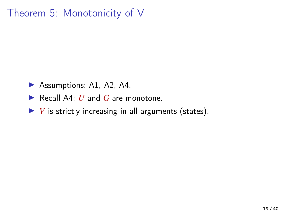## Theorem 5: Monotonicity of V

- $\blacktriangleright$  Assumptions: A1, A2, A4.
- ▶ Recall A4: *U* and *G* are monotone.
- $\blacktriangleright$  *V* is strictly increasing in all arguments (states).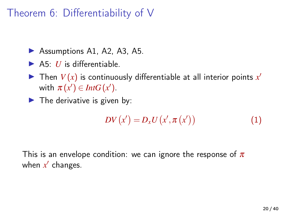#### Theorem 6: Differentiability of V

- $\blacktriangleright$  Assumptions A1, A2, A3, A5.
- $\blacktriangleright$  A5: *U* is differentiable.
- $\blacktriangleright$  Then  $V(x)$  is continuously differentiable at all interior points  $x'$ with  $\pi(x') \in Int G(x')$ .
- $\blacktriangleright$  The derivative is given by:

$$
DV(x') = D_x U(x', \pi(x')) \tag{1}
$$

This is an envelope condition: we can ignore the response of  $\pi$ when x' changes.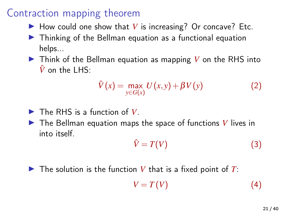- $\blacktriangleright$  How could one show that *V* is increasing? Or concave? Etc.
- $\triangleright$  Thinking of the Bellman equation as a functional equation helps...
- $\triangleright$  Think of the Bellman equation as mapping V on the RHS into  $\hat{V}$  on the LHS:

$$
\hat{V}(x) = \max_{y \in G(x)} U(x, y) + \beta V(y) \tag{2}
$$

- $\blacktriangleright$  The RHS is a function of *V*.
- $\blacktriangleright$  The Bellman equation maps the space of functions *V* lives in into itself.

$$
\hat{V} = T(V) \tag{3}
$$

#### $\triangleright$  The solution is the function V that is a fixed point of T:

$$
V = T(V) \tag{4}
$$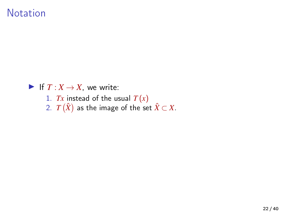#### Notation

If  $T : X \to X$ , we write: 1. *Tx* instead of the usual *T* (*x*) 2.  $T\left(\hat{X}\right)$  as the image of the set  $\hat{X}\subset X.$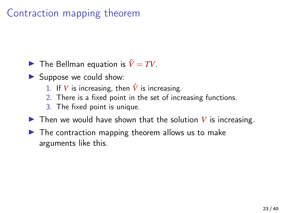- **I** The Bellman equation is  $\hat{V} = TV$ .
- $\blacktriangleright$  Suppose we could show:
	- 1. If *V* is increasing, then  $\hat{V}$  is increasing.
	- 2. There is a fixed point in the set of increasing functions.
	- 3. The fixed point is unique.
- $\triangleright$  Then we would have shown that the solution *V* is increasing.
- $\blacktriangleright$  The contraction mapping theorem allows us to make arguments like this.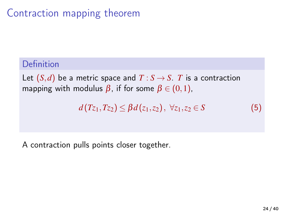#### Definition

Let  $(S,d)$  be a metric space and  $T : S \rightarrow S$ . *T* is a contraction mapping with modulus  $\beta$ , if for some  $\beta \in (0,1)$ ,

$$
d(T_{z_1},T_{z_2}) \leq \beta d(z_1,z_2), \ \forall z_1,z_2 \in S \tag{5}
$$

A contraction pulls points closer together.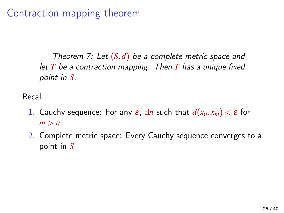Theorem 7: Let  $(S, d)$  be a complete metric space and let *T* be a contraction mapping. Then *T* has a unique fixed point in *S*.

Recall:

- 1. Cauchy sequence: For any  $\varepsilon$ ,  $\exists n$  such that  $d(x_n, x_m) < \varepsilon$  for  $m > n$ .
- 2. Complete metric space: Every Cauchy sequence converges to a point in *S*.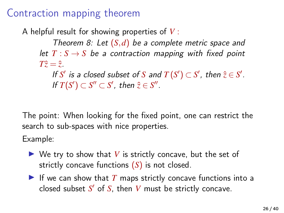A helpful result for showing properties of *V* :

Theorem 8: Let (*S*,*d*) be a complete metric space and let  $T : S \rightarrow S$  be a contraction mapping with fixed point  $T\hat{z} = \hat{z}$ .

If *S'* is a closed subset of *S* and  $T(S') \subset S'$ , then  $\hat{z} \in S'$ . If  $T(S') \subset S'' \subset S'$ , then  $\hat{z} \in S''$ .

The point: When looking for the fixed point, one can restrict the search to sub-spaces with nice properties.

Example:

- $\triangleright$  We try to show that V is strictly concave, but the set of strictly concave functions (*S*) is not closed.
- If we can show that  $T$  maps strictly concave functions into a closed subset  $S'$  of  $S$ , then  $V$  must be strictly concave.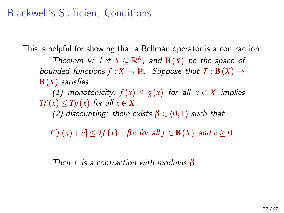## Blackwell's Sufficient Conditions

This is helpful for showing that a Bellman operator is a contraction:

Theorem 9: Let  $X \subseteq \mathbb{R}^K$ , and  $\mathbf{B}(X)$  be the space of bounded functions  $f: X \to \mathbb{R}$ . Suppose that  $T: \mathbf{B}(X) \to$ B(*X*) satisfies:

(1) monotonicity:  $f(x) \leq g(x)$  for all  $x \in X$  implies *Tf*  $(x)$   $\leq$  *Tg* $(x)$  for all  $x \in X$ .

(2) discounting: there exists  $\beta \in (0,1)$  such that

 $T[f(x) + c] \le Tf(x) + \beta c$  for all  $f \in B(X)$  and  $c \ge 0$ .

Then *T* is a contraction with modulus  $\beta$ .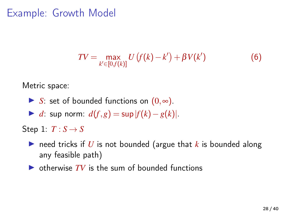## Example: Growth Model

$$
TV = \max_{k' \in [0, f(k)]} U\left(f(k) - k'\right) + \beta V(k')\tag{6}
$$

Metric space:

- **►** *S*: set of bounded functions on  $(0, ∞)$ .
- $\blacktriangleright$  *d*: sup norm:  $d(f, g) = \sup |f(k) g(k)|$ .

Step 1:  $T: S \rightarrow S$ 

- reed tricks if  $U$  is not bounded (argue that  $k$  is bounded along any feasible path)
- $\triangleright$  otherwise  $TV$  is the sum of bounded functions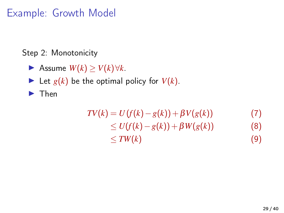# Example: Growth Model

Step 2: Monotonicity

- **►** Assume  $W(k) \geq V(k) \forall k$ .
- If Let  $g(k)$  be the optimal policy for  $V(k)$ .

 $\blacktriangleright$  Then

$$
TV(k) = U(f(k) - g(k)) + \beta V(g(k))
$$
  
\n
$$
\leq U(f(k) - g(k)) + \beta W(g(k))
$$
\n(7)  
\n
$$
\leq TW(k)
$$
\n(9)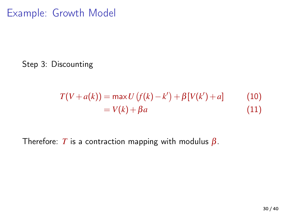Example: Growth Model

Step 3: Discounting

$$
T(V + a(k)) = \max U(f(k) - k') + \beta[V(k') + a]
$$
 (10)  
=  $V(k) + \beta a$  (11)

Therefore: *T* is a contraction mapping with modulus  $\beta$ .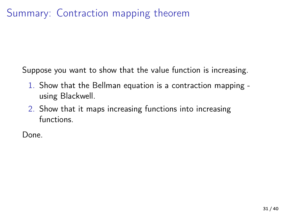# Summary: Contraction mapping theorem

Suppose you want to show that the value function is increasing.

- 1. Show that the Bellman equation is a contraction mapping using Blackwell.
- 2. Show that it maps increasing functions into increasing functions.

Done.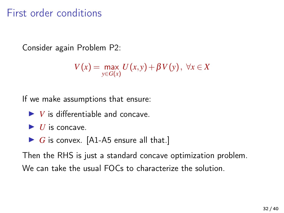### First order conditions

Consider again Problem P2:

$$
V(x) = \max_{y \in G(x)} U(x, y) + \beta V(y), \ \forall x \in X
$$

If we make assumptions that ensure:

- $\blacktriangleright$  *V* is differentiable and concave
- $\blacktriangleright$  *II* is concave.
- $\triangleright$  *G* is convex. [A1-A5 ensure all that.]

Then the RHS is just a standard concave optimization problem. We can take the usual FOCs to characterize the solution.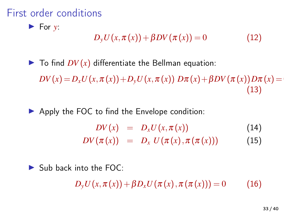## First order conditions

 $\blacktriangleright$  For  $y$ :

$$
D_{y}U(x,\pi(x))+\beta DV(\pi(x))=0
$$
\n(12)

 $\blacktriangleright$  To find  $DV(x)$  differentiate the Bellman equation:

 $DV(x) = D_x U(x, \pi(x)) + D_y U(x, \pi(x)) D\pi(x) + BDV(\pi(x))D\pi(x) = 0$ (13)

 $\triangleright$  Apply the FOC to find the Envelope condition:

$$
DV(x) = D_x U(x, \pi(x)) \qquad (14)
$$
  
\n
$$
DV(\pi(x)) = D_x U(\pi(x), \pi(\pi(x))) \qquad (15)
$$

 $\blacktriangleright$  Sub back into the FOC:

 $D_v U(x, \pi(x)) + \beta D_v U(\pi(x), \pi(\pi(x))) = 0$  (16)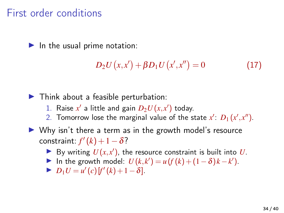#### First order conditions

 $\blacktriangleright$  In the usual prime notation:

$$
D_2 U(x, x') + \beta D_1 U(x', x'') = 0 \tag{17}
$$

 $\blacktriangleright$  Think about a feasible perturbation:

- 1. Raise  $x'$  a little and gain  $D_2U(x,x')$  today.
- 2. Tomorrow lose the marginal value of the state  $x'$ :  $D_1(x',x'')$ .
- $\triangleright$  Why isn't there a term as in the growth model's resource  $\text{constraint: } f'(k) + 1 - \delta$ ?
	- By writing  $U(x, x')$ , the resource constraint is built into *U*.
	- In the growth model:  $U(k, k') = u(f(k) + (1 \delta)k k')$ .
	- $\triangleright$  *D*<sub>1</sub>*U* = *u'* (*c*)[*f'* (*k*) + 1 − δ].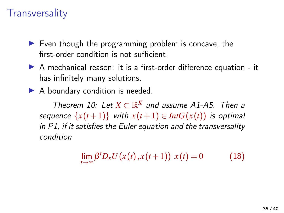### **Transversality**

- $\blacktriangleright$  Even though the programming problem is concave, the first-order condition is not sufficient!
- $\triangleright$  A mechanical reason: it is a first-order difference equation it has infinitely many solutions.
- $\blacktriangleright$  A boundary condition is needed.

Theorem 10: Let  $X \subset \mathbb{R}^K$  and assume A1-A5. Then a sequence  $\{x(t+1)\}\$  with  $x(t+1) \in Int G(x(t))$  is optimal in P1, if it satisfies the Euler equation and the transversality condition

$$
\lim_{t \to \infty} \beta^t D_x U(x(t), x(t+1)) x(t) = 0 \tag{18}
$$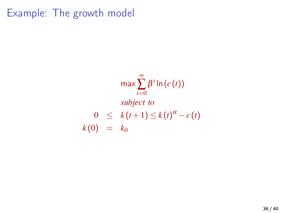Example: The growth model

$$
\max \sum_{t=0}^{\infty} \beta^t \ln(c(t))
$$
  
subject to  

$$
0 \le k(t+1) \le k(t)^{\alpha} - c(t)
$$
  

$$
k(0) = k_0
$$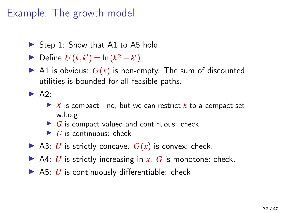# Example: The growth model

- $\triangleright$  Step 1: Show that A1 to A5 hold.
- ► Define  $U(k, k') = \ln (k^{\alpha} k')$ .
- A1 is obvious:  $G(x)$  is non-empty. The sum of discounted utilities is bounded for all feasible paths.

 $\blacktriangleright$  A<sub>2</sub>.

- $\triangleright$  *X* is compact no, but we can restrict *k* to a compact set w.l.o.g.
- $\blacktriangleright$  *G* is compact valued and continuous: check
- $\blacktriangleright$  *U* is continuous: check
- $\triangleright$  A3: *U* is strictly concave.  $G(x)$  is convex: check.
- $\triangleright$  A4: *U* is strictly increasing in *x*. *G* is monotone: check.
- $\triangleright$  A5: *U* is continuously differentiable: check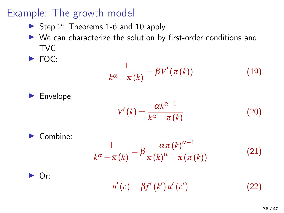## Example: The growth model

- $\triangleright$  Step 2: Theorems 1-6 and 10 apply.
- $\triangleright$  We can characterize the solution by first-order conditions and TVC.
- $\blacktriangleright$  FOC:

$$
\frac{1}{k^{\alpha}-\pi(k)} = \beta V'(\pi(k))
$$
\n(19)



$$
V'(k) = \frac{\alpha k^{\alpha - 1}}{k^{\alpha} - \pi(k)}\tag{20}
$$

Combine:

\n
$$
\frac{1}{k^{\alpha} - \pi(k)} = \beta \frac{\alpha \pi(k)^{\alpha - 1}}{\pi(k)^{\alpha} - \pi(\pi(k))}
$$
\nOr:

\n
$$
u'(c) = \beta f'(k') u'(c')
$$
\n(22)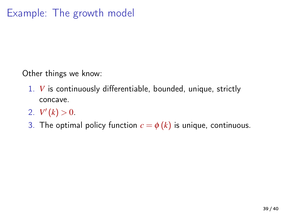Other things we know:

- 1. *V* is continuously differentiable, bounded, unique, strictly concave.
- 2.  $V'(k) > 0$ .
- 3. The optimal policy function  $c = \phi(k)$  is unique, continuous.